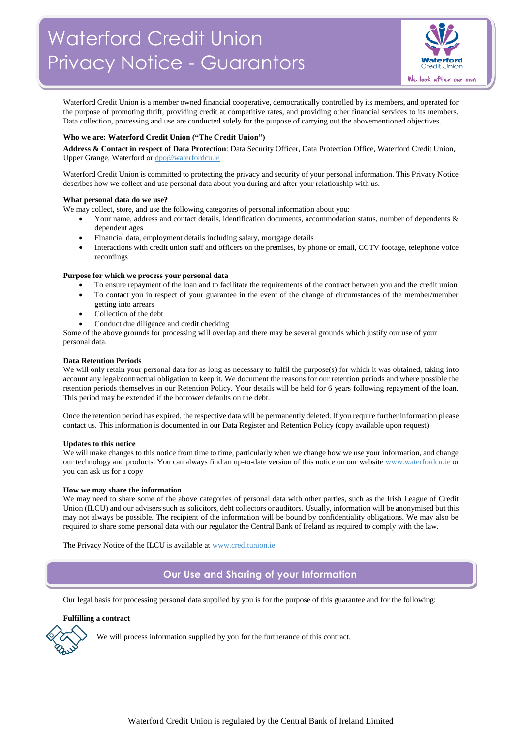

Waterford Credit Union is a member owned financial cooperative, democratically controlled by its members, and operated for the purpose of promoting thrift, providing credit at competitive rates, and providing other financial services to its members. Data collection, processing and use are conducted solely for the purpose of carrying out the abovementioned objectives.

## **Who we are: Waterford Credit Union ("The Credit Union")**

**Address & Contact in respect of Data Protection**: Data Security Officer, Data Protection Office, Waterford Credit Union, Upper Grange, Waterford o[r dpo@waterfordcu.ie](mailto:dpo@waterfordcu.ie)

Waterford Credit Union is committed to protecting the privacy and security of your personal information. This Privacy Notice describes how we collect and use personal data about you during and after your relationship with us.

## **What personal data do we use?**

We may collect, store, and use the following categories of personal information about you:

- Your name, address and contact details, identification documents, accommodation status, number of dependents & dependent ages
- Financial data, employment details including salary, mortgage details
- Interactions with credit union staff and officers on the premises, by phone or email, CCTV footage, telephone voice recordings

## **Purpose for which we process your personal data**

- To ensure repayment of the loan and to facilitate the requirements of the contract between you and the credit union
- To contact you in respect of your guarantee in the event of the change of circumstances of the member/member getting into arrears
- Collection of the debt
- Conduct due diligence and credit checking

Some of the above grounds for processing will overlap and there may be several grounds which justify our use of your personal data.

## **Data Retention Periods**

We will only retain your personal data for as long as necessary to fulfil the purpose(s) for which it was obtained, taking into account any legal/contractual obligation to keep it. We document the reasons for our retention periods and where possible the retention periods themselves in our Retention Policy. Your details will be held for 6 years following repayment of the loan. This period may be extended if the borrower defaults on the debt.

Once the retention period has expired, the respective data will be permanently deleted. If you require further information please contact us. This information is documented in our Data Register and Retention Policy (copy available upon request).

### **Updates to this notice**

We will make changes to this notice from time to time, particularly when we change how we use your information, and change our technology and products. You can always find an up-to-date version of this notice on our websit[e www.waterfordcu.ie](http://www.waterfordcu.ie/) or you can ask us for a copy

### **How we may share the information**

We may need to share some of the above categories of personal data with other parties, such as the Irish League of Credit Union (ILCU) and our advisers such as solicitors, debt collectors or auditors. Usually, information will be anonymised but this may not always be possible. The recipient of the information will be bound by confidentiality obligations. We may also be required to share some personal data with our regulator the Central Bank of Ireland as required to comply with the law.

The Privacy Notice of the ILCU is available at [www.creditunion.ie](http://www.creditunion.ie/)

## **Our Use and Sharing of your Information**

Our legal basis for processing personal data supplied by you is for the purpose of this guarantee and for the following:

## **Fulfilling a contract**



We will process information supplied by you for the furtherance of this contract.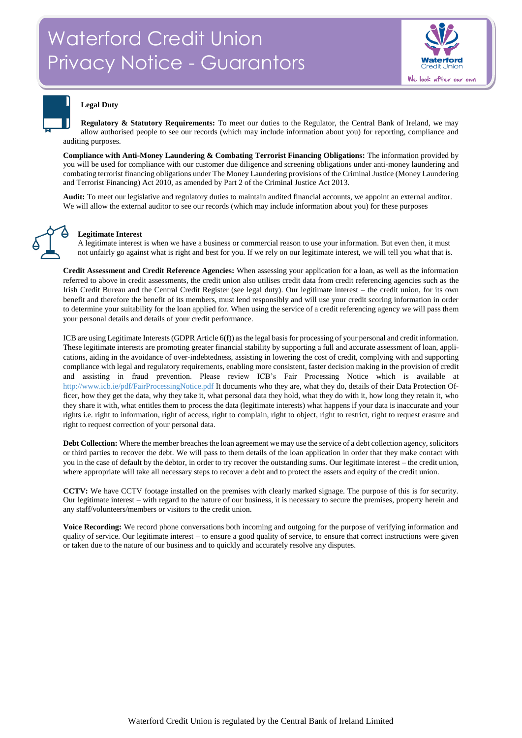

## **Legal Duty**

**Regulatory & Statutory Requirements:** To meet our duties to the Regulator, the Central Bank of Ireland, we may allow authorised people to see our records (which may include information about you) for reporting, compliance and auditing purposes.

**Compliance with Anti-Money Laundering & Combating Terrorist Financing Obligations:** The information provided by you will be used for compliance with our customer due diligence and screening obligations under anti-money laundering and combating terrorist financing obligations under The Money Laundering provisions of the Criminal Justice (Money Laundering and Terrorist Financing) Act 2010, as amended by Part 2 of the Criminal Justice Act 2013.

**Audit:** To meet our legislative and regulatory duties to maintain audited financial accounts, we appoint an external auditor. We will allow the external auditor to see our records (which may include information about you) for these purposes



## **Legitimate Interest**

A legitimate interest is when we have a business or commercial reason to use your information. But even then, it must not unfairly go against what is right and best for you. If we rely on our legitimate interest, we will tell you what that is.

**Credit Assessment and Credit Reference Agencies:** When assessing your application for a loan, as well as the information referred to above in credit assessments, the credit union also utilises credit data from credit referencing agencies such as the Irish Credit Bureau and the Central Credit Register (see legal duty). Our legitimate interest – the credit union, for its own benefit and therefore the benefit of its members, must lend responsibly and will use your credit scoring information in order to determine your suitability for the loan applied for. When using the service of a credit referencing agency we will pass them your personal details and details of your credit performance.

ICB are using Legitimate Interests (GDPR Article 6(f)) as the legal basis for processing of your personal and credit information. These legitimate interests are promoting greater financial stability by supporting a full and accurate assessment of loan, applications, aiding in the avoidance of over-indebtedness, assisting in lowering the cost of credit, complying with and supporting compliance with legal and regulatory requirements, enabling more consistent, faster decision making in the provision of credit and assisting in fraud prevention. Please review ICB's Fair Processing Notice which is available at <http://www.icb.ie/pdf/FairProcessingNotice.pdf> It documents who they are, what they do, details of their Data Protection Officer, how they get the data, why they take it, what personal data they hold, what they do with it, how long they retain it, who they share it with, what entitles them to process the data (legitimate interests) what happens if your data is inaccurate and your rights i.e. right to information, right of access, right to complain, right to object, right to restrict, right to request erasure and right to request correction of your personal data.

**Debt Collection:** Where the member breaches the loan agreement we may use the service of a debt collection agency, solicitors or third parties to recover the debt. We will pass to them details of the loan application in order that they make contact with you in the case of default by the debtor, in order to try recover the outstanding sums. Our legitimate interest – the credit union, where appropriate will take all necessary steps to recover a debt and to protect the assets and equity of the credit union.

**CCTV:** We have CCTV footage installed on the premises with clearly marked signage. The purpose of this is for security. Our legitimate interest – with regard to the nature of our business, it is necessary to secure the premises, property herein and any staff/volunteers/members or visitors to the credit union.

**Voice Recording:** We record phone conversations both incoming and outgoing for the purpose of verifying information and quality of service. Our legitimate interest – to ensure a good quality of service, to ensure that correct instructions were given or taken due to the nature of our business and to quickly and accurately resolve any disputes.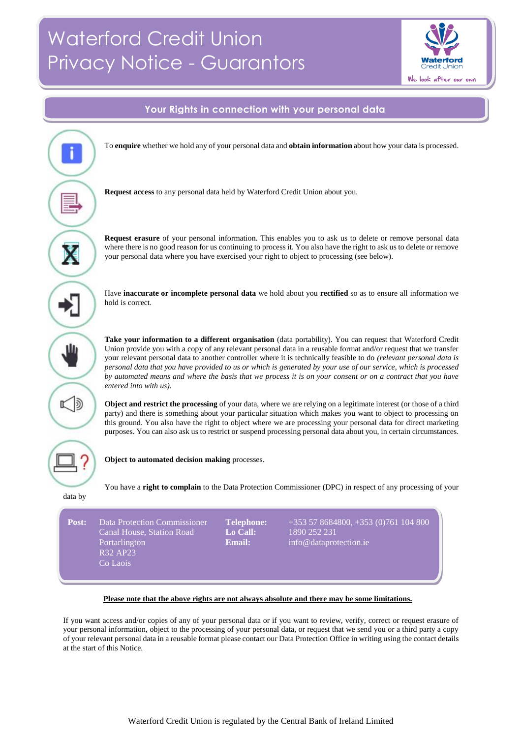# Waterford Credit Union Privacy Notice - Guarantors





## **Please note that the above rights are not always absolute and there may be some limitations.***.t*

If you want access and/or copies of any of your personal data or if you want to review, verify, correct or request erasure of your personal information, object to the processing of your personal data, or request that we send you or a third party a copy of your relevant personal data in a reusable format please contact our Data Protection Office in writing using the contact details at the start of this Notice.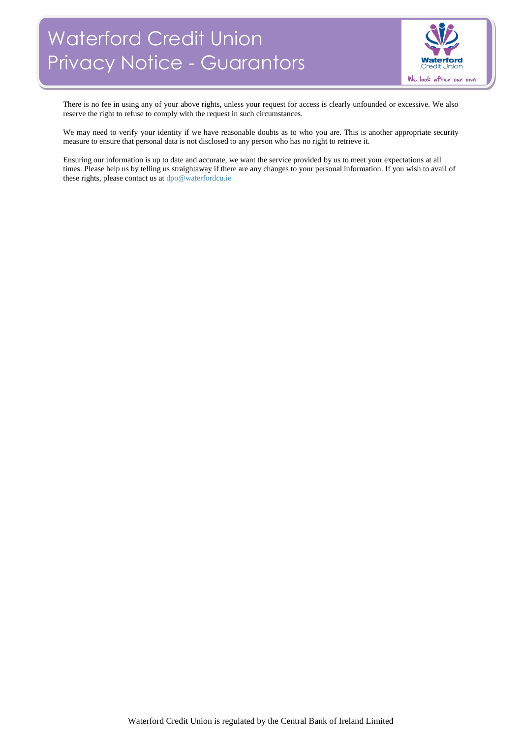# Waterford Credit Union Privacy Notice - Guarantors



There is no fee in using any of your above rights, unless your request for access is clearly unfounded or excessive. We also reserve the right to refuse to comply with the request in such circumstances.

We may need to verify your identity if we have reasonable doubts as to who you are. This is another appropriate security measure to ensure that personal data is not disclosed to any person who has no right to retrieve it.

Ensuring our information is up to date and accurate, we want the service provided by us to meet your expectations at all times. Please help us by telling us straightaway if there are any changes to your personal information. If you wish to avail of these rights, please contact us a[t dpo@waterfordcu.ie](mailto:dpo@waterfordcu.ie)